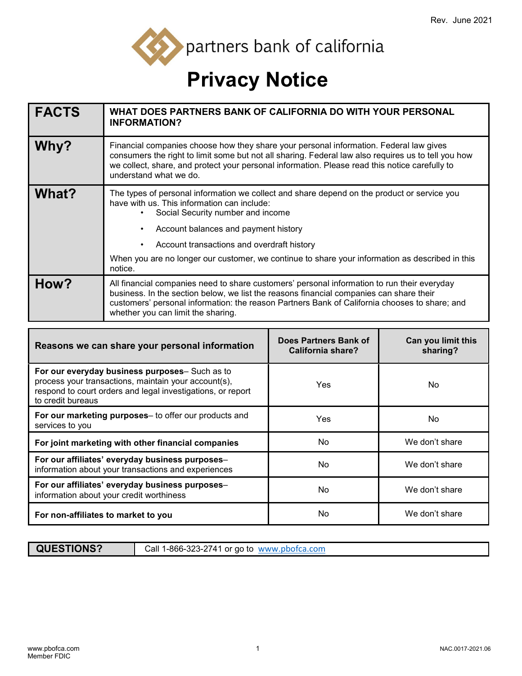

## **Privacy Notice**

| <b>FACTS</b> | WHAT DOES PARTNERS BANK OF CALIFORNIA DO WITH YOUR PERSONAL<br><b>INFORMATION?</b>                                                                                                                                                                                                                                                                                                                            |
|--------------|---------------------------------------------------------------------------------------------------------------------------------------------------------------------------------------------------------------------------------------------------------------------------------------------------------------------------------------------------------------------------------------------------------------|
| Why?         | Financial companies choose how they share your personal information. Federal law gives<br>consumers the right to limit some but not all sharing. Federal law also requires us to tell you how<br>we collect, share, and protect your personal information. Please read this notice carefully to<br>understand what we do.                                                                                     |
| What?        | The types of personal information we collect and share depend on the product or service you<br>have with us. This information can include:<br>Social Security number and income<br>Account balances and payment history<br>$\bullet$<br>Account transactions and overdraft history<br>$\bullet$<br>When you are no longer our customer, we continue to share your information as described in this<br>notice. |
| How?         | All financial companies need to share customers' personal information to run their everyday<br>business. In the section below, we list the reasons financial companies can share their<br>customers' personal information: the reason Partners Bank of California chooses to share; and<br>whether you can limit the sharing.                                                                                 |

| Reasons we can share your personal information                                                                                                                                             | Does Partners Bank of<br>California share? | Can you limit this<br>sharing? |
|--------------------------------------------------------------------------------------------------------------------------------------------------------------------------------------------|--------------------------------------------|--------------------------------|
| For our everyday business purposes- Such as to<br>process your transactions, maintain your account(s),<br>respond to court orders and legal investigations, or report<br>to credit bureaus | Yes                                        | No                             |
| For our marketing purposes- to offer our products and<br>services to you                                                                                                                   | Yes                                        | No                             |
| For joint marketing with other financial companies                                                                                                                                         | No.                                        | We don't share                 |
| For our affiliates' everyday business purposes-<br>information about your transactions and experiences                                                                                     | No                                         | We don't share                 |
| For our affiliates' everyday business purposes-<br>information about your credit worthiness                                                                                                | No                                         | We don't share                 |
| For non-affiliates to market to you                                                                                                                                                        | No                                         | We don't share                 |

QUESTIONS? Call 1-866-323-2741 or go to [www.pbofca.com](http://www.pbofca.com/)